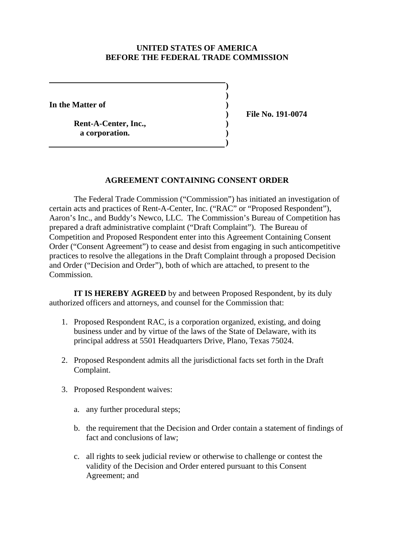## **UNITED STATES OF AMERICA BEFORE THE FEDERAL TRADE COMMISSION**

 **)**

 **)**

 **)**

**In the Matter of )**

Rent-A-Center, Inc.,  **a corporation. )**

 **) File No. 191-0074**

## **AGREEMENT CONTAINING CONSENT ORDER**

The Federal Trade Commission ("Commission") has initiated an investigation of certain acts and practices of Rent-A-Center, Inc. ("RAC" or "Proposed Respondent"), Aaron's Inc., and Buddy's Newco, LLC. The Commission's Bureau of Competition has prepared a draft administrative complaint ("Draft Complaint"). The Bureau of Competition and Proposed Respondent enter into this Agreement Containing Consent Order ("Consent Agreement") to cease and desist from engaging in such anticompetitive practices to resolve the allegations in the Draft Complaint through a proposed Decision and Order ("Decision and Order"), both of which are attached, to present to the Commission.

**IT IS HEREBY AGREED** by and between Proposed Respondent, by its duly authorized officers and attorneys, and counsel for the Commission that:

- 1. Proposed Respondent RAC, is a corporation organized, existing, and doing business under and by virtue of the laws of the State of Delaware, with its principal address at 5501 Headquarters Drive, Plano, Texas 75024.
- 2. Proposed Respondent admits all the jurisdictional facts set forth in the Draft Complaint.
- 3. Proposed Respondent waives:
	- a. any further procedural steps;
	- b. the requirement that the Decision and Order contain a statement of findings of fact and conclusions of law;
	- c. all rights to seek judicial review or otherwise to challenge or contest the validity of the Decision and Order entered pursuant to this Consent Agreement; and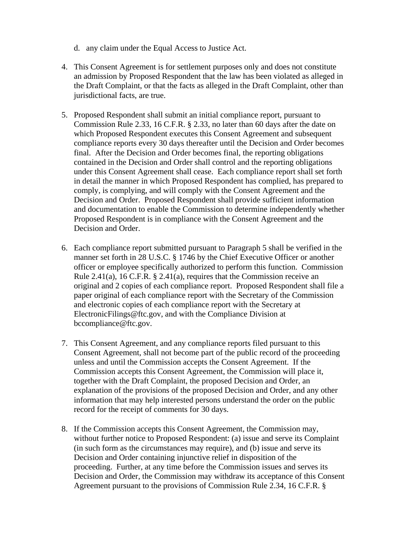- d. any claim under the Equal Access to Justice Act.
- 4. This Consent Agreement is for settlement purposes only and does not constitute an admission by Proposed Respondent that the law has been violated as alleged in the Draft Complaint, or that the facts as alleged in the Draft Complaint, other than jurisdictional facts, are true.
- 5. Proposed Respondent shall submit an initial compliance report, pursuant to Commission Rule 2.33, 16 C.F.R. § 2.33, no later than 60 days after the date on which Proposed Respondent executes this Consent Agreement and subsequent compliance reports every 30 days thereafter until the Decision and Order becomes final. After the Decision and Order becomes final, the reporting obligations contained in the Decision and Order shall control and the reporting obligations under this Consent Agreement shall cease. Each compliance report shall set forth in detail the manner in which Proposed Respondent has complied, has prepared to comply, is complying, and will comply with the Consent Agreement and the Decision and Order. Proposed Respondent shall provide sufficient information and documentation to enable the Commission to determine independently whether Proposed Respondent is in compliance with the Consent Agreement and the Decision and Order.
- 6. Each compliance report submitted pursuant to Paragraph 5 shall be verified in the manner set forth in 28 U.S.C. § 1746 by the Chief Executive Officer or another officer or employee specifically authorized to perform this function. Commission Rule 2.41(a), 16 C.F.R. § 2.41(a), requires that the Commission receive an original and 2 copies of each compliance report. Proposed Respondent shall file a paper original of each compliance report with the Secretary of the Commission and electronic copies of each compliance report with the Secretary at ElectronicFilings@ftc.gov, and with the Compliance Division at bccompliance@ftc.gov.
- 7. This Consent Agreement, and any compliance reports filed pursuant to this Consent Agreement, shall not become part of the public record of the proceeding unless and until the Commission accepts the Consent Agreement. If the Commission accepts this Consent Agreement, the Commission will place it, together with the Draft Complaint, the proposed Decision and Order, an explanation of the provisions of the proposed Decision and Order, and any other information that may help interested persons understand the order on the public record for the receipt of comments for 30 days.
- 8. If the Commission accepts this Consent Agreement, the Commission may, without further notice to Proposed Respondent: (a) issue and serve its Complaint (in such form as the circumstances may require), and (b) issue and serve its Decision and Order containing injunctive relief in disposition of the proceeding. Further, at any time before the Commission issues and serves its Decision and Order, the Commission may withdraw its acceptance of this Consent Agreement pursuant to the provisions of Commission Rule 2.34, 16 C.F.R. §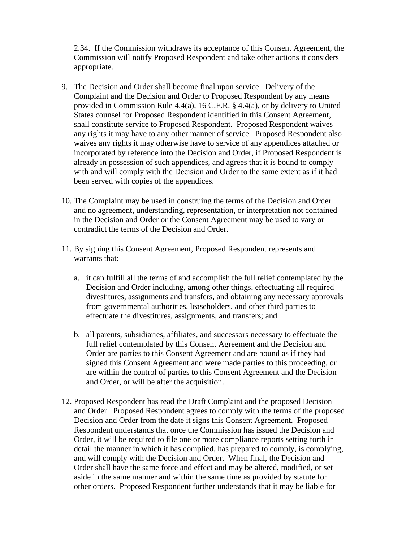2.34. If the Commission withdraws its acceptance of this Consent Agreement, the Commission will notify Proposed Respondent and take other actions it considers appropriate.

- 9. The Decision and Order shall become final upon service. Delivery of the Complaint and the Decision and Order to Proposed Respondent by any means provided in Commission Rule 4.4(a), 16 C.F.R. § 4.4(a), or by delivery to United States counsel for Proposed Respondent identified in this Consent Agreement, shall constitute service to Proposed Respondent. Proposed Respondent waives any rights it may have to any other manner of service. Proposed Respondent also waives any rights it may otherwise have to service of any appendices attached or incorporated by reference into the Decision and Order, if Proposed Respondent is already in possession of such appendices, and agrees that it is bound to comply with and will comply with the Decision and Order to the same extent as if it had been served with copies of the appendices.
- 10. The Complaint may be used in construing the terms of the Decision and Order and no agreement, understanding, representation, or interpretation not contained in the Decision and Order or the Consent Agreement may be used to vary or contradict the terms of the Decision and Order.
- 11. By signing this Consent Agreement, Proposed Respondent represents and warrants that:
	- a. it can fulfill all the terms of and accomplish the full relief contemplated by the Decision and Order including, among other things, effectuating all required divestitures, assignments and transfers, and obtaining any necessary approvals from governmental authorities, leaseholders, and other third parties to effectuate the divestitures, assignments, and transfers; and
	- b. all parents, subsidiaries, affiliates, and successors necessary to effectuate the full relief contemplated by this Consent Agreement and the Decision and Order are parties to this Consent Agreement and are bound as if they had signed this Consent Agreement and were made parties to this proceeding, or are within the control of parties to this Consent Agreement and the Decision and Order, or will be after the acquisition.
- 12. Proposed Respondent has read the Draft Complaint and the proposed Decision and Order. Proposed Respondent agrees to comply with the terms of the proposed Decision and Order from the date it signs this Consent Agreement. Proposed Respondent understands that once the Commission has issued the Decision and Order, it will be required to file one or more compliance reports setting forth in detail the manner in which it has complied, has prepared to comply, is complying, and will comply with the Decision and Order. When final, the Decision and Order shall have the same force and effect and may be altered, modified, or set aside in the same manner and within the same time as provided by statute for other orders. Proposed Respondent further understands that it may be liable for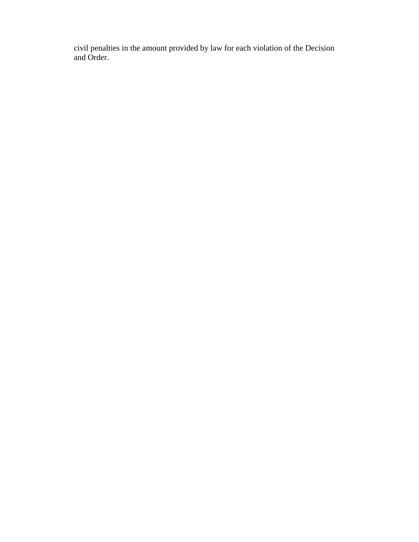civil penalties in the amount provided by law for each violation of the Decision and Order.